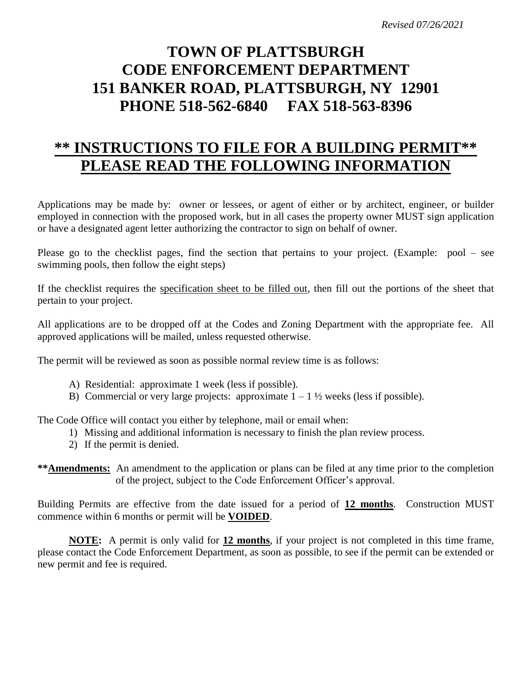*Revised 07/26/2021*

## **TOWN OF PLATTSBURGH CODE ENFORCEMENT DEPARTMENT 151 BANKER ROAD, PLATTSBURGH, NY 12901 PHONE 518-562-6840 FAX 518-563-8396**

## **\*\* INSTRUCTIONS TO FILE FOR A BUILDING PERMIT\*\* PLEASE READ THE FOLLOWING INFORMATION**

Applications may be made by: owner or lessees, or agent of either or by architect, engineer, or builder employed in connection with the proposed work, but in all cases the property owner MUST sign application or have a designated agent letter authorizing the contractor to sign on behalf of owner.

Please go to the checklist pages, find the section that pertains to your project. (Example: pool – see swimming pools, then follow the eight steps)

If the checklist requires the specification sheet to be filled out, then fill out the portions of the sheet that pertain to your project.

All applications are to be dropped off at the Codes and Zoning Department with the appropriate fee. All approved applications will be mailed, unless requested otherwise.

The permit will be reviewed as soon as possible normal review time is as follows:

- A) Residential: approximate 1 week (less if possible).
- B) Commercial or very large projects: approximate  $1 1 \frac{1}{2}$  weeks (less if possible).

The Code Office will contact you either by telephone, mail or email when:

- 1) Missing and additional information is necessary to finish the plan review process.
- 2) If the permit is denied.

**\*\*Amendments:** An amendment to the application or plans can be filed at any time prior to the completion of the project, subject to the Code Enforcement Officer's approval.

Building Permits are effective from the date issued for a period of **12 months**. Construction MUST commence within 6 months or permit will be **VOIDED**.

**NOTE:** A permit is only valid for **12 months**, if your project is not completed in this time frame, please contact the Code Enforcement Department, as soon as possible, to see if the permit can be extended or new permit and fee is required.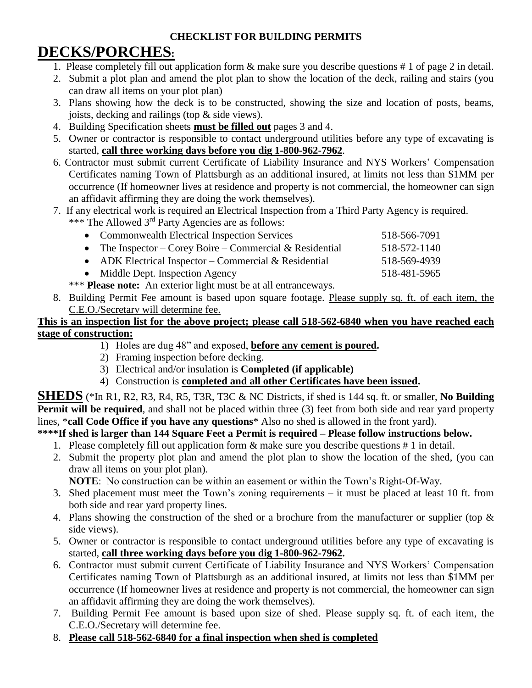## **DECKS/PORCHES:**

- 1. Please completely fill out application form & make sure you describe questions # 1 of page 2 in detail.
- 2. Submit a plot plan and amend the plot plan to show the location of the deck, railing and stairs (you can draw all items on your plot plan)
- 3. Plans showing how the deck is to be constructed, showing the size and location of posts, beams, joists, decking and railings (top & side views).
- 4. Building Specification sheets **must be filled out** pages 3 and 4.
- 5. Owner or contractor is responsible to contact underground utilities before any type of excavating is started, **call three working days before you dig 1-800-962-7962**.
- 6. Contractor must submit current Certificate of Liability Insurance and NYS Workers' Compensation Certificates naming Town of Plattsburgh as an additional insured, at limits not less than \$1MM per occurrence (If homeowner lives at residence and property is not commercial, the homeowner can sign an affidavit affirming they are doing the work themselves).
- 7. If any electrical work is required an Electrical Inspection from a Third Party Agency is required. \*\*\* The Allowed 3<sup>rd</sup> Party Agencies are as follows:

| • Commonwealth Electrical Inspection Services            | 518-566-7091 |
|----------------------------------------------------------|--------------|
| • The Inspector – Corey Boire – Commercial & Residential | 518-572-1140 |
| • ADK Electrical Inspector – Commercial & Residential    | 518-569-4939 |
| • Middle Dept. Inspection Agency                         | 518-481-5965 |
|                                                          |              |

- \*\*\* **Please note:** An exterior light must be at all entranceways.
- 8. Building Permit Fee amount is based upon square footage. Please supply sq. ft. of each item, the C.E.O./Secretary will determine fee.

### **This is an inspection list for the above project; please call 518-562-6840 when you have reached each stage of construction:**

- 1) Holes are dug 48" and exposed, **before any cement is poured.**
- 2) Framing inspection before decking.
- 3) Electrical and/or insulation is **Completed (if applicable)**
- 4) Construction is **completed and all other Certificates have been issued.**

**SHEDS** (\*In R1, R2, R3, R4, R5, T3R, T3C & NC Districts, if shed is 144 sq. ft. or smaller, **No Building Permit will be required**, and shall not be placed within three (3) feet from both side and rear yard property lines, \***call Code Office if you have any questions**\* Also no shed is allowed in the front yard).

### **\*\*\*\*If shed is larger than 144 Square Feet a Permit is required – Please follow instructions below.**

- 1. Please completely fill out application form & make sure you describe questions # 1 in detail.
- 2. Submit the property plot plan and amend the plot plan to show the location of the shed, (you can draw all items on your plot plan).

**NOTE**: No construction can be within an easement or within the Town's Right-Of-Way.

- 3. Shed placement must meet the Town's zoning requirements it must be placed at least 10 ft. from both side and rear yard property lines.
- 4. Plans showing the construction of the shed or a brochure from the manufacturer or supplier (top  $\&$ side views).
- 5. Owner or contractor is responsible to contact underground utilities before any type of excavating is started, **call three working days before you dig 1-800-962-7962.**
- 6. Contractor must submit current Certificate of Liability Insurance and NYS Workers' Compensation Certificates naming Town of Plattsburgh as an additional insured, at limits not less than \$1MM per occurrence (If homeowner lives at residence and property is not commercial, the homeowner can sign an affidavit affirming they are doing the work themselves).
- 7. Building Permit Fee amount is based upon size of shed. Please supply sq. ft. of each item, the C.E.O./Secretary will determine fee.
- 8. **Please call 518-562-6840 for a final inspection when shed is completed**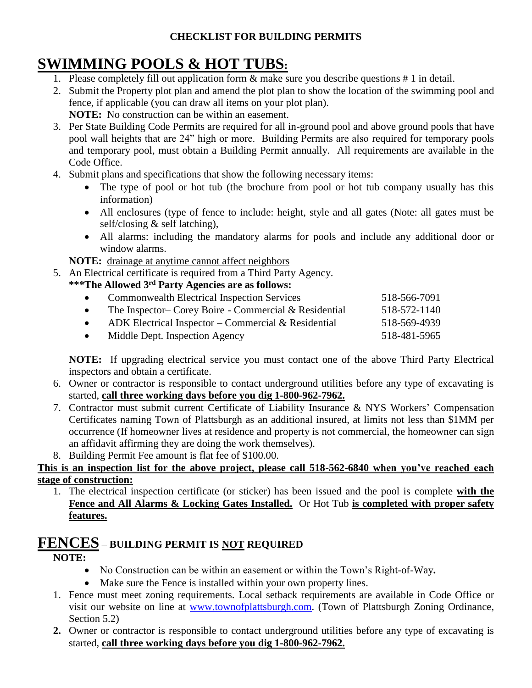# **SWIMMING POOLS & HOT TUBS:**

- 1. Please completely fill out application form & make sure you describe questions # 1 in detail.
- 2. Submit the Property plot plan and amend the plot plan to show the location of the swimming pool and fence, if applicable (you can draw all items on your plot plan). **NOTE:** No construction can be within an easement.
- 3. Per State Building Code Permits are required for all in-ground pool and above ground pools that have pool wall heights that are 24" high or more. Building Permits are also required for temporary pools and temporary pool, must obtain a Building Permit annually. All requirements are available in the Code Office.
- 4. Submit plans and specifications that show the following necessary items:
	- The type of pool or hot tub (the brochure from pool or hot tub company usually has this information)
	- All enclosures (type of fence to include: height, style and all gates (Note: all gates must be self/closing & self latching),
	- All alarms: including the mandatory alarms for pools and include any additional door or window alarms.

**NOTE:** drainage at anytime cannot affect neighbors

- 5. An Electrical certificate is required from a Third Party Agency.
	- **\*\*\*The Allowed 3rd Party Agencies are as follows:**

| $\bullet$ | <b>Commonwealth Electrical Inspection Services</b>    | 518-566-7091 |
|-----------|-------------------------------------------------------|--------------|
| $\bullet$ | The Inspector– Corey Boire - Commercial & Residential | 518-572-1140 |
| $\bullet$ | ADK Electrical Inspector – Commercial & Residential   | 518-569-4939 |
| $\bullet$ | Middle Dept. Inspection Agency                        | 518-481-5965 |

**NOTE:** If upgrading electrical service you must contact one of the above Third Party Electrical inspectors and obtain a certificate.

- 6. Owner or contractor is responsible to contact underground utilities before any type of excavating is started, **call three working days before you dig 1-800-962-7962.**
- 7. Contractor must submit current Certificate of Liability Insurance & NYS Workers' Compensation Certificates naming Town of Plattsburgh as an additional insured, at limits not less than \$1MM per occurrence (If homeowner lives at residence and property is not commercial, the homeowner can sign an affidavit affirming they are doing the work themselves).
- 8. Building Permit Fee amount is flat fee of \$100.00.

### **This is an inspection list for the above project, please call 518-562-6840 when you've reached each stage of construction:**

1. The electrical inspection certificate (or sticker) has been issued and the pool is complete **with the Fence and All Alarms & Locking Gates Installed.** Or Hot Tub **is completed with proper safety features.**

### **FENCES** – **BUILDING PERMIT IS NOT REQUIRED**

### **NOTE:**

- No Construction can be within an easement or within the Town's Right-of-Way**.**
- Make sure the Fence is installed within your own property lines.
- 1. Fence must meet zoning requirements. Local setback requirements are available in Code Office or visit our website on line at [www.townofplattsburgh.com.](http://www.townofplattsburgh.com/) (Town of Plattsburgh Zoning Ordinance, Section 5.2)
- **2.** Owner or contractor is responsible to contact underground utilities before any type of excavating is started, **call three working days before you dig 1-800-962-7962.**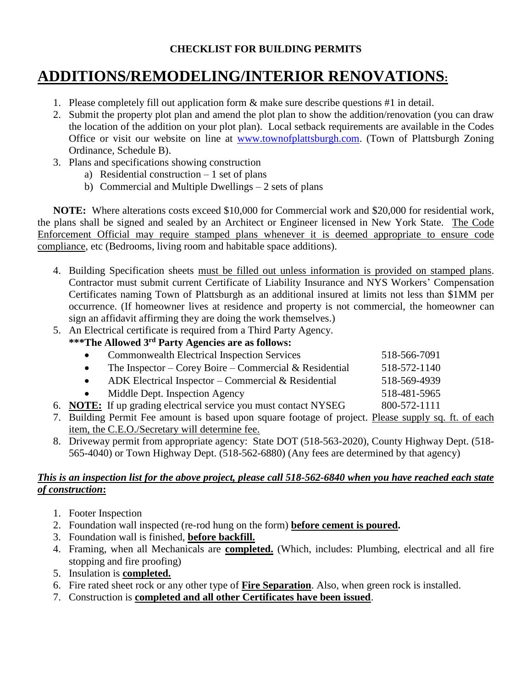## **ADDITIONS/REMODELING/INTERIOR RENOVATIONS:**

- 1. Please completely fill out application form & make sure describe questions #1 in detail.
- 2. Submit the property plot plan and amend the plot plan to show the addition/renovation (you can draw the location of the addition on your plot plan). Local setback requirements are available in the Codes Office or visit our website on line at [www.townofplattsburgh.com.](http://www.townofplattsburgh.com/) (Town of Plattsburgh Zoning Ordinance, Schedule B).
- 3. Plans and specifications showing construction
	- a) Residential construction  $-1$  set of plans
	- b) Commercial and Multiple Dwellings 2 sets of plans

**NOTE:** Where alterations costs exceed \$10,000 for Commercial work and \$20,000 for residential work, the plans shall be signed and sealed by an Architect or Engineer licensed in New York State. The Code Enforcement Official may require stamped plans whenever it is deemed appropriate to ensure code compliance, etc (Bedrooms, living room and habitable space additions).

- 4. Building Specification sheets must be filled out unless information is provided on stamped plans. Contractor must submit current Certificate of Liability Insurance and NYS Workers' Compensation Certificates naming Town of Plattsburgh as an additional insured at limits not less than \$1MM per occurrence. (If homeowner lives at residence and property is not commercial, the homeowner can sign an affidavit affirming they are doing the work themselves.)
- 5. An Electrical certificate is required from a Third Party Agency.
	- **\*\*\*The Allowed 3rd Party Agencies are as follows:**
		- Commonwealth Electrical Inspection Services 518-566-7091 • The Inspector – Corey Boire – Commercial & Residential  $518-572-1140$ • ADK Electrical Inspector – Commercial & Residential 518-569-4939 Middle Dept. Inspection Agency 518-481-5965
		-

6. **NOTE:** If up grading electrical service you must contact NYSEG 800-572-1111

- 7. Building Permit Fee amount is based upon square footage of project. Please supply sq. ft. of each item, the C.E.O./Secretary will determine fee.
- 8. Driveway permit from appropriate agency: State DOT (518-563-2020), County Highway Dept. (518- 565-4040) or Town Highway Dept. (518-562-6880) (Any fees are determined by that agency)

### *This is an inspection list for the above project, please call 518-562-6840 when you have reached each state of construction***:**

- 1. Footer Inspection
- 2. Foundation wall inspected (re-rod hung on the form) **before cement is poured.**
- 3. Foundation wall is finished, **before backfill.**
- 4. Framing, when all Mechanicals are **completed.** (Which, includes: Plumbing, electrical and all fire stopping and fire proofing)
- 5. Insulation is **completed.**
- 6. Fire rated sheet rock or any other type of **Fire Separation**. Also, when green rock is installed.
- 7. Construction is **completed and all other Certificates have been issued**.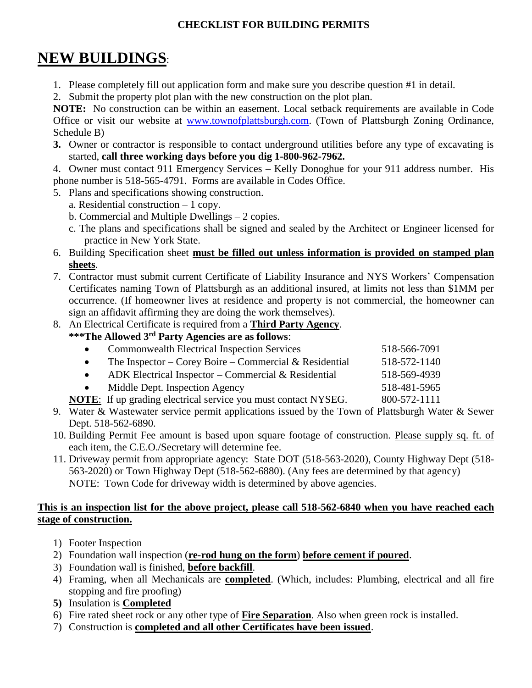# **NEW BUILDINGS**:

- 1. Please completely fill out application form and make sure you describe question #1 in detail.
- 2. Submit the property plot plan with the new construction on the plot plan.

**NOTE:** No construction can be within an easement. Local setback requirements are available in Code Office or visit our website at [www.townofplattsburgh.com.](http://www.townofplattsburgh.com/) (Town of Plattsburgh Zoning Ordinance, Schedule B)

**3.** Owner or contractor is responsible to contact underground utilities before any type of excavating is started, **call three working days before you dig 1-800-962-7962.**

4. Owner must contact 911 Emergency Services – Kelly Donoghue for your 911 address number. His phone number is 518-565-4791. Forms are available in Codes Office.

- 5. Plans and specifications showing construction.
	- a. Residential construction 1 copy.
	- b. Commercial and Multiple Dwellings 2 copies.
	- c. The plans and specifications shall be signed and sealed by the Architect or Engineer licensed for practice in New York State.
- 6. Building Specification sheet **must be filled out unless information is provided on stamped plan sheets**.
- 7. Contractor must submit current Certificate of Liability Insurance and NYS Workers' Compensation Certificates naming Town of Plattsburgh as an additional insured, at limits not less than \$1MM per occurrence. (If homeowner lives at residence and property is not commercial, the homeowner can sign an affidavit affirming they are doing the work themselves).
- 8. An Electrical Certificate is required from a **Third Party Agency**.

### **\*\*\*The Allowed 3rd Party Agencies are as follows**:

| <b>Commonwealth Electrical Inspection Services</b>                    | 518-566-7091 |
|-----------------------------------------------------------------------|--------------|
| The Inspector – Corey Boire – Commercial & Residential                | 518-572-1140 |
| ADK Electrical Inspector – Commercial & Residential                   | 518-569-4939 |
| Middle Dept. Inspection Agency                                        | 518-481-5965 |
| <b>NOTE:</b> If up grading electrical service you must contact NYSEG. | 800-572-1111 |

- 9. Water & Wastewater service permit applications issued by the Town of Plattsburgh Water & Sewer Dept. 518-562-6890.
- 10. Building Permit Fee amount is based upon square footage of construction. Please supply sq. ft. of each item, the C.E.O./Secretary will determine fee.
- 11. Driveway permit from appropriate agency: State DOT (518-563-2020), County Highway Dept (518- 563-2020) or Town Highway Dept (518-562-6880). (Any fees are determined by that agency) NOTE: Town Code for driveway width is determined by above agencies.

### **This is an inspection list for the above project, please call 518-562-6840 when you have reached each stage of construction.**

- 1) Footer Inspection
- 2) Foundation wall inspection (**re-rod hung on the form**) **before cement if poured**.
- 3) Foundation wall is finished, **before backfill**.
- 4) Framing, when all Mechanicals are **completed**. (Which, includes: Plumbing, electrical and all fire stopping and fire proofing)
- **5)** Insulation is **Completed**
- 6) Fire rated sheet rock or any other type of **Fire Separation**. Also when green rock is installed.
- 7) Construction is **completed and all other Certificates have been issued**.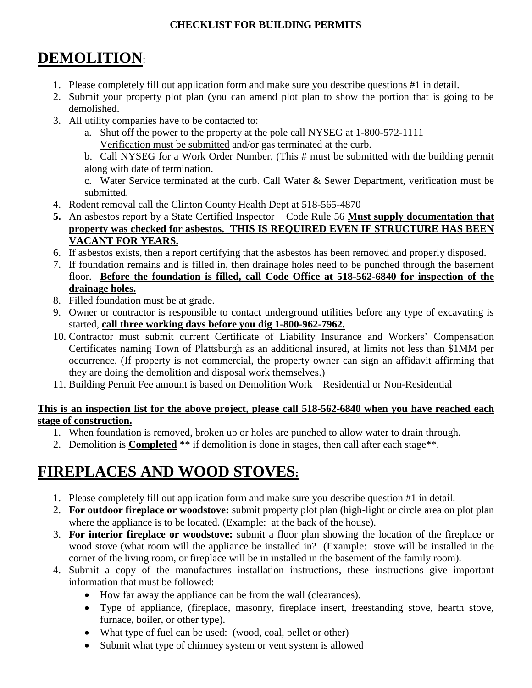# **DEMOLITION**:

- 1. Please completely fill out application form and make sure you describe questions #1 in detail.
- 2. Submit your property plot plan (you can amend plot plan to show the portion that is going to be demolished.
- 3. All utility companies have to be contacted to:
	- a. Shut off the power to the property at the pole call NYSEG at 1-800-572-1111 Verification must be submitted and/or gas terminated at the curb.

b. Call NYSEG for a Work Order Number, (This # must be submitted with the building permit along with date of termination.

c. Water Service terminated at the curb. Call Water & Sewer Department, verification must be submitted.

- 4. Rodent removal call the Clinton County Health Dept at 518-565-4870
- **5.** An asbestos report by a State Certified Inspector Code Rule 56 **Must supply documentation that property was checked for asbestos. THIS IS REQUIRED EVEN IF STRUCTURE HAS BEEN VACANT FOR YEARS.**
- 6. If asbestos exists, then a report certifying that the asbestos has been removed and properly disposed.
- 7. If foundation remains and is filled in, then drainage holes need to be punched through the basement floor. **Before the foundation is filled, call Code Office at 518-562-6840 for inspection of the drainage holes.**
- 8. Filled foundation must be at grade.
- 9. Owner or contractor is responsible to contact underground utilities before any type of excavating is started, **call three working days before you dig 1-800-962-7962.**
- 10. Contractor must submit current Certificate of Liability Insurance and Workers' Compensation Certificates naming Town of Plattsburgh as an additional insured, at limits not less than \$1MM per occurrence. (If property is not commercial, the property owner can sign an affidavit affirming that they are doing the demolition and disposal work themselves.)
- 11. Building Permit Fee amount is based on Demolition Work Residential or Non-Residential

**This is an inspection list for the above project, please call 518-562-6840 when you have reached each stage of construction.**

- 1. When foundation is removed, broken up or holes are punched to allow water to drain through.
- 2. Demolition is **Completed** \*\* if demolition is done in stages, then call after each stage<sup>\*\*</sup>.

# **FIREPLACES AND WOOD STOVES:**

- 1. Please completely fill out application form and make sure you describe question #1 in detail.
- 2. **For outdoor fireplace or woodstove:** submit property plot plan (high-light or circle area on plot plan where the appliance is to be located. (Example: at the back of the house).
- 3. **For interior fireplace or woodstove:** submit a floor plan showing the location of the fireplace or wood stove (what room will the appliance be installed in? (Example: stove will be installed in the corner of the living room, or fireplace will be in installed in the basement of the family room).
- 4. Submit a copy of the manufactures installation instructions, these instructions give important information that must be followed:
	- How far away the appliance can be from the wall (clearances).
	- Type of appliance, (fireplace, masonry, fireplace insert, freestanding stove, hearth stove, furnace, boiler, or other type).
	- What type of fuel can be used: (wood, coal, pellet or other)
	- Submit what type of chimney system or vent system is allowed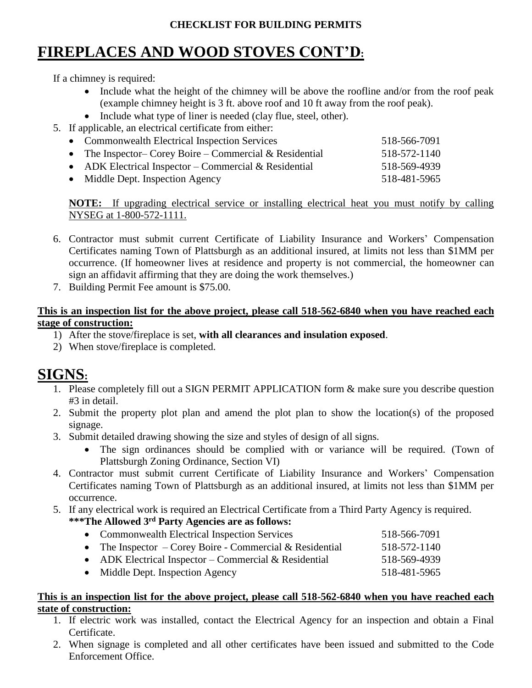## **FIREPLACES AND WOOD STOVES CONT'D:**

If a chimney is required:

- Include what the height of the chimney will be above the roofline and/or from the roof peak (example chimney height is 3 ft. above roof and 10 ft away from the roof peak).
- Include what type of liner is needed (clay flue, steel, other).
- 5. If applicable, an electrical certificate from either:
	- Commonwealth Electrical Inspection Services 518-566-7091 • The Inspector– Corey Boire – Commercial & Residential 518-572-1140 • ADK Electrical Inspector – Commercial & Residential 518-569-4939 • Middle Dept. Inspection Agency 518-481-5965
	- **NOTE:** If upgrading electrical service or installing electrical heat you must notify by calling

NYSEG at 1-800-572-1111.

- 6. Contractor must submit current Certificate of Liability Insurance and Workers' Compensation Certificates naming Town of Plattsburgh as an additional insured, at limits not less than \$1MM per occurrence. (If homeowner lives at residence and property is not commercial, the homeowner can sign an affidavit affirming that they are doing the work themselves.)
- 7. Building Permit Fee amount is \$75.00.

### **This is an inspection list for the above project, please call 518-562-6840 when you have reached each stage of construction:**

- 1) After the stove/fireplace is set, **with all clearances and insulation exposed**.
- 2) When stove/fireplace is completed.

## **SIGNS:**

- 1. Please completely fill out a SIGN PERMIT APPLICATION form & make sure you describe question #3 in detail.
- 2. Submit the property plot plan and amend the plot plan to show the location(s) of the proposed signage.
- 3. Submit detailed drawing showing the size and styles of design of all signs.
	- The sign ordinances should be complied with or variance will be required. (Town of Plattsburgh Zoning Ordinance, Section VI)
- 4. Contractor must submit current Certificate of Liability Insurance and Workers' Compensation Certificates naming Town of Plattsburgh as an additional insured, at limits not less than \$1MM per occurrence.
- 5. If any electrical work is required an Electrical Certificate from a Third Party Agency is required. **\*\*\*The Allowed 3rd Party Agencies are as follows:**

| THE AHOWED THE ALLY ARCHELES ALE AS IULIONS. |                                                          |              |
|----------------------------------------------|----------------------------------------------------------|--------------|
|                                              | • Commonwealth Electrical Inspection Services            | 518-566-7091 |
|                                              | • The Inspector – Corey Boire - Commercial & Residential | 518-572-1140 |
|                                              | • ADK Electrical Inspector – Commercial & Residential    | 518-569-4939 |
|                                              | • Middle Dept. Inspection Agency                         | 518-481-5965 |

#### **This is an inspection list for the above project, please call 518-562-6840 when you have reached each state of construction:**

- 1. If electric work was installed, contact the Electrical Agency for an inspection and obtain a Final Certificate.
- 2. When signage is completed and all other certificates have been issued and submitted to the Code Enforcement Office.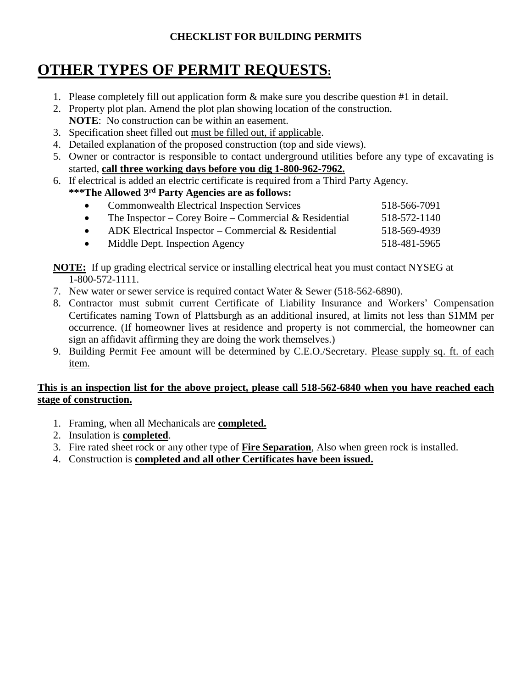# **OTHER TYPES OF PERMIT REQUESTS:**

- 1. Please completely fill out application form & make sure you describe question #1 in detail.
- 2. Property plot plan. Amend the plot plan showing location of the construction. **NOTE**: No construction can be within an easement.
- 3. Specification sheet filled out must be filled out, if applicable.
- 4. Detailed explanation of the proposed construction (top and side views).
- 5. Owner or contractor is responsible to contact underground utilities before any type of excavating is started, **call three working days before you dig 1-800-962-7962.**
- 6. If electrical is added an electric certificate is required from a Third Party Agency. **\*\*\*The Allowed 3rd Party Agencies are as follows:**

|           | $\frac{1}{2}$ and $\frac{1}{2}$ and $\frac{1}{2}$ and $\frac{1}{2}$ and $\frac{1}{2}$ and $\frac{1}{2}$ and $\frac{1}{2}$ and $\frac{1}{2}$ |              |
|-----------|---------------------------------------------------------------------------------------------------------------------------------------------|--------------|
| $\bullet$ | <b>Commonwealth Electrical Inspection Services</b>                                                                                          | 518-566-7091 |
| $\bullet$ | The Inspector – Corey Boire – Commercial & Residential                                                                                      | 518-572-1140 |
| $\bullet$ | ADK Electrical Inspector – Commercial & Residential                                                                                         | 518-569-4939 |
| $\bullet$ | Middle Dept. Inspection Agency                                                                                                              | 518-481-5965 |
|           |                                                                                                                                             |              |

**NOTE:** If up grading electrical service or installing electrical heat you must contact NYSEG at 1-800-572-1111.

- 7. New water or sewer service is required contact Water & Sewer (518-562-6890).
- 8. Contractor must submit current Certificate of Liability Insurance and Workers' Compensation Certificates naming Town of Plattsburgh as an additional insured, at limits not less than \$1MM per occurrence. (If homeowner lives at residence and property is not commercial, the homeowner can sign an affidavit affirming they are doing the work themselves.)
- 9. Building Permit Fee amount will be determined by C.E.O./Secretary. Please supply sq. ft. of each item.

### **This is an inspection list for the above project, please call 518-562-6840 when you have reached each stage of construction.**

- 1. Framing, when all Mechanicals are **completed.**
- 2. Insulation is **completed**.
- 3. Fire rated sheet rock or any other type of **Fire Separation**, Also when green rock is installed.
- 4. Construction is **completed and all other Certificates have been issued.**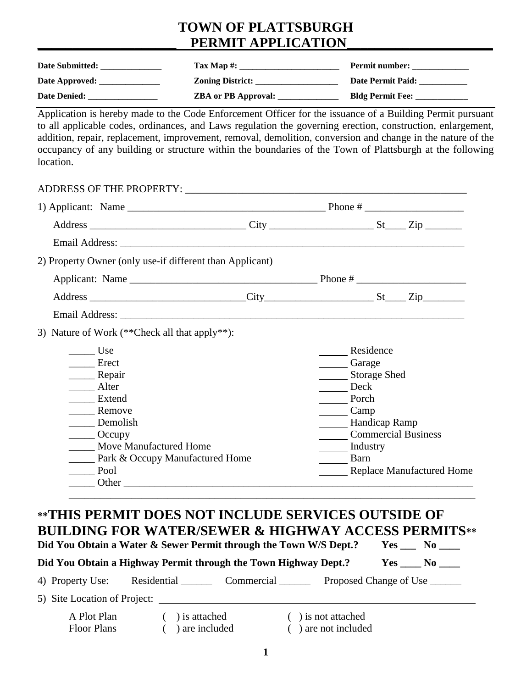### **TOWN OF PLATTSBURGH** PERMIT APPLICATION

| Date Submitted:     | Tax Map #:                 | <b>Permit number:</b>    |
|---------------------|----------------------------|--------------------------|
| Date Approved:      | <b>Zoning District:</b>    | <b>Date Permit Paid:</b> |
| <b>Date Denied:</b> | <b>ZBA or PB Approval:</b> | <b>Bldg Permit Fee:</b>  |

Application is hereby made to the Code Enforcement Officer for the issuance of a Building Permit pursuant to all applicable codes, ordinances, and Laws regulation the governing erection, construction, enlargement, addition, repair, replacement, improvement, removal, demolition, conversion and change in the nature of the occupancy of any building or structure within the boundaries of the Town of Plattsburgh at the following location.

ADDRESS OF THE PROPERTY: \_\_\_\_\_\_\_\_\_\_\_\_\_\_\_\_\_\_\_\_\_\_\_\_\_\_\_\_\_\_\_\_\_\_\_\_\_\_\_\_\_\_\_\_\_\_\_\_\_\_\_\_\_\_ 1) Applicant: Name Phone # Address \_\_\_\_\_\_\_\_\_\_\_\_\_\_\_\_\_\_\_\_\_\_\_\_\_\_\_\_\_\_ City \_\_\_\_\_\_\_\_\_\_\_\_\_\_\_\_\_\_\_\_ St\_\_\_\_ Zip \_\_\_\_\_\_\_ Email Address: 2) Property Owner (only use-if different than Applicant) Applicant: Name \_\_\_\_\_\_\_\_\_\_\_\_\_\_\_\_\_\_\_\_\_\_\_\_\_\_\_\_\_\_\_\_\_\_\_\_ Phone # \_\_\_\_\_\_\_\_\_\_\_\_\_\_\_\_\_\_\_\_\_ Address City City St Zip Email Address: \_\_\_\_\_\_\_\_\_\_\_\_\_\_\_\_\_\_\_\_\_\_\_\_\_\_\_\_\_\_\_\_\_\_\_\_\_\_\_\_\_\_\_\_\_\_\_\_\_\_\_\_\_\_\_\_\_\_\_\_\_\_\_\_\_\_ 3) Nature of Work (\*\*Check all that apply\*\*): \_\_\_\_\_ Use Residence \_\_\_\_\_ Erect Garage \_\_\_\_\_ Repair Storage Shed \_\_\_\_\_ Alter Deck extend Porch Porch Porch Porch Porch Porch Porch Porch Porch Porch Porch Porch Porch Porch Porch Porch Porch Porch Porch Porch Porch Porch Porch Porch Porch Porch Porch Porch Porch Porch Porch Porch Porch Porch Porch Porch \_\_\_\_\_ Remove Camp \_\_\_\_\_ Demolish Handicap Ramp **Example 2.1** Occupy<br>
Move Manufactured Home<br>
Move Manufactured Home<br>
Move Manufactured Home Move Manufactured Home Lack Park & Occupy Manufactured Home Barn \_\_\_\_\_ Pool Replace Manufactured Home Uther  $\overline{\phantom{a}}$ \_\_\_\_\_\_\_\_\_\_\_\_\_\_\_\_\_\_\_\_\_\_\_\_\_\_\_\_\_\_\_\_\_\_\_\_\_\_\_\_\_\_\_\_\_\_\_\_\_\_\_\_\_\_\_\_\_\_\_\_\_\_\_\_\_\_\_\_\_\_\_\_\_\_\_\_\_\_

### **\*\*THIS PERMIT DOES NOT INCLUDE SERVICES OUTSIDE OF BUILDING FOR WATER/SEWER & HIGHWAY ACCESS PERMITS\*\* Did You Obtain a Water & Sewer Permit through the Town W/S Dept.? Yes \_\_\_ No \_\_\_\_**

| Did You Obtain a Highway Permit through the Town Highway Dept.?<br>Yes No |                                 |                                              |                                |
|---------------------------------------------------------------------------|---------------------------------|----------------------------------------------|--------------------------------|
| 4) Property Use:                                                          | Residental                      | Commercial                                   | Proposed Change of Use _______ |
|                                                                           | 5) Site Location of Project:    |                                              |                                |
| A Plot Plan<br><b>Floor Plans</b>                                         | ) is attached<br>) are included | $( )$ is not attached<br>() are not included |                                |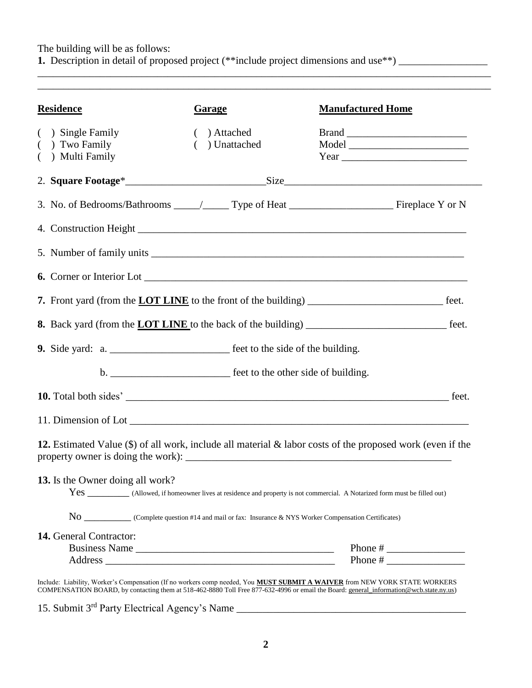The building will be as follows:

**1.** Description in detail of proposed project (\*\*include project dimensions and use\*\*) \_\_\_\_\_\_\_\_\_\_\_\_\_\_\_\_\_\_\_\_\_\_\_\_

\_\_\_\_\_\_\_\_\_\_\_\_\_\_\_\_\_\_\_\_\_\_\_\_\_\_\_\_\_\_\_\_\_\_\_\_\_\_\_\_\_\_\_\_\_\_\_\_\_\_\_\_\_\_\_\_\_\_\_\_\_\_\_\_\_\_\_\_\_\_\_\_\_\_\_\_\_\_\_\_\_\_\_\_\_\_\_

| <b>Residence</b>                 | <b>Garage</b> | <b>Manufactured Home</b>                                                                                          |
|----------------------------------|---------------|-------------------------------------------------------------------------------------------------------------------|
| ) Single Family                  | ) Attached    |                                                                                                                   |
| ( ) Two Family                   | ) Unattached  |                                                                                                                   |
| ) Multi Family                   |               |                                                                                                                   |
|                                  |               |                                                                                                                   |
|                                  |               |                                                                                                                   |
|                                  |               |                                                                                                                   |
|                                  |               |                                                                                                                   |
|                                  |               | 6. Corner or Interior Lot                                                                                         |
|                                  |               | 7. Front yard (from the $\underline{LOT$ LINE to the front of the building) _______________________________ feet. |
|                                  |               |                                                                                                                   |
|                                  |               |                                                                                                                   |
|                                  |               |                                                                                                                   |
|                                  |               |                                                                                                                   |
|                                  |               |                                                                                                                   |
|                                  |               | <b>12.</b> Estimated Value (\$) of all work, include all material & labor costs of the proposed work (even if the |
|                                  |               |                                                                                                                   |
| 13. Is the Owner doing all work? |               |                                                                                                                   |
|                                  |               |                                                                                                                   |
|                                  |               |                                                                                                                   |
| 14. General Contractor:          |               |                                                                                                                   |
|                                  | Business Name |                                                                                                                   |

15. Submit 3rd Party Electrical Agency's Name \_\_\_\_\_\_\_\_\_\_\_\_\_\_\_\_\_\_\_\_\_\_\_\_\_\_\_\_\_\_\_\_\_\_\_\_\_\_\_\_\_\_\_\_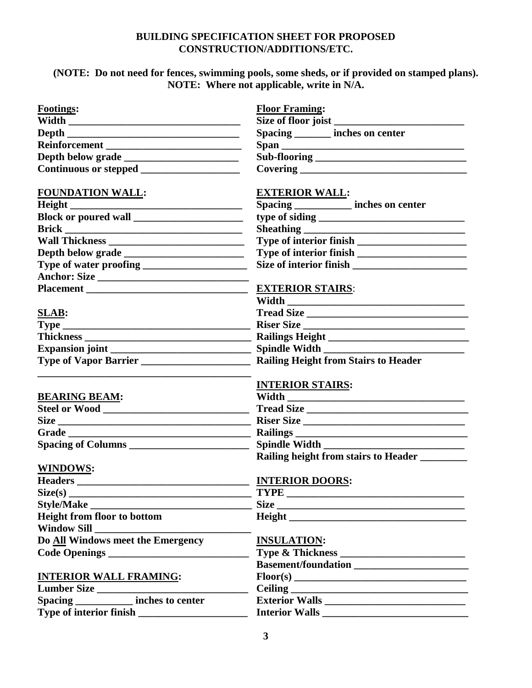### **BUILDING SPECIFICATION SHEET FOR PROPOSED CONSTRUCTION/ADDITIONS/ETC.**

### **(NOTE: Do not need for fences, swimming pools, some sheds, or if provided on stamped plans). NOTE: Where not applicable, write in N/A.**

| Size of floor joist<br>Spacing _______ inches on center<br><b>FOUNDATION WALL:</b><br><b>EXTERIOR WALL:</b><br>Spacing ____________ inches on center<br>Type of interior finish<br><u>Land Communication</u><br><b>EXTERIOR STAIRS:</b><br>$\text{Type}\_\_\_\_\_\_\_\_\_$<br>Riser Size<br><b>INTERIOR STAIRS:</b><br>Width Nieuwana and San Andrew March 2014<br>Size<br>Riser Size<br><b>Railing height from stairs to Header</b><br><b>INTERIOR DOORS:</b><br>TYPE<br><b>INSULATION:</b><br><b>INTERIOR WALL FRAMING:</b><br>Spacing ___________ inches to center<br>Exterior Walls | Footings:                          | <b>Floor Framing:</b> |
|-----------------------------------------------------------------------------------------------------------------------------------------------------------------------------------------------------------------------------------------------------------------------------------------------------------------------------------------------------------------------------------------------------------------------------------------------------------------------------------------------------------------------------------------------------------------------------------------|------------------------------------|-----------------------|
|                                                                                                                                                                                                                                                                                                                                                                                                                                                                                                                                                                                         |                                    |                       |
|                                                                                                                                                                                                                                                                                                                                                                                                                                                                                                                                                                                         |                                    |                       |
| Tread Size<br>Tread Size                                                                                                                                                                                                                                                                                                                                                                                                                                                                                                                                                                |                                    |                       |
|                                                                                                                                                                                                                                                                                                                                                                                                                                                                                                                                                                                         |                                    |                       |
|                                                                                                                                                                                                                                                                                                                                                                                                                                                                                                                                                                                         |                                    |                       |
|                                                                                                                                                                                                                                                                                                                                                                                                                                                                                                                                                                                         |                                    |                       |
|                                                                                                                                                                                                                                                                                                                                                                                                                                                                                                                                                                                         |                                    |                       |
|                                                                                                                                                                                                                                                                                                                                                                                                                                                                                                                                                                                         |                                    |                       |
|                                                                                                                                                                                                                                                                                                                                                                                                                                                                                                                                                                                         |                                    |                       |
|                                                                                                                                                                                                                                                                                                                                                                                                                                                                                                                                                                                         |                                    |                       |
|                                                                                                                                                                                                                                                                                                                                                                                                                                                                                                                                                                                         |                                    |                       |
|                                                                                                                                                                                                                                                                                                                                                                                                                                                                                                                                                                                         |                                    |                       |
|                                                                                                                                                                                                                                                                                                                                                                                                                                                                                                                                                                                         |                                    |                       |
|                                                                                                                                                                                                                                                                                                                                                                                                                                                                                                                                                                                         |                                    |                       |
|                                                                                                                                                                                                                                                                                                                                                                                                                                                                                                                                                                                         |                                    |                       |
|                                                                                                                                                                                                                                                                                                                                                                                                                                                                                                                                                                                         | SLAB:                              |                       |
|                                                                                                                                                                                                                                                                                                                                                                                                                                                                                                                                                                                         |                                    |                       |
|                                                                                                                                                                                                                                                                                                                                                                                                                                                                                                                                                                                         |                                    |                       |
|                                                                                                                                                                                                                                                                                                                                                                                                                                                                                                                                                                                         |                                    |                       |
|                                                                                                                                                                                                                                                                                                                                                                                                                                                                                                                                                                                         |                                    |                       |
|                                                                                                                                                                                                                                                                                                                                                                                                                                                                                                                                                                                         |                                    |                       |
|                                                                                                                                                                                                                                                                                                                                                                                                                                                                                                                                                                                         | <b>BEARING BEAM:</b>               |                       |
|                                                                                                                                                                                                                                                                                                                                                                                                                                                                                                                                                                                         |                                    |                       |
|                                                                                                                                                                                                                                                                                                                                                                                                                                                                                                                                                                                         |                                    |                       |
|                                                                                                                                                                                                                                                                                                                                                                                                                                                                                                                                                                                         |                                    |                       |
|                                                                                                                                                                                                                                                                                                                                                                                                                                                                                                                                                                                         |                                    |                       |
|                                                                                                                                                                                                                                                                                                                                                                                                                                                                                                                                                                                         |                                    |                       |
|                                                                                                                                                                                                                                                                                                                                                                                                                                                                                                                                                                                         | <b>WINDOWS:</b>                    |                       |
|                                                                                                                                                                                                                                                                                                                                                                                                                                                                                                                                                                                         | Headers _____                      |                       |
|                                                                                                                                                                                                                                                                                                                                                                                                                                                                                                                                                                                         | Size(s)                            |                       |
|                                                                                                                                                                                                                                                                                                                                                                                                                                                                                                                                                                                         |                                    |                       |
|                                                                                                                                                                                                                                                                                                                                                                                                                                                                                                                                                                                         | <b>Height from floor to bottom</b> |                       |
|                                                                                                                                                                                                                                                                                                                                                                                                                                                                                                                                                                                         | <b>Window Sill</b>                 |                       |
|                                                                                                                                                                                                                                                                                                                                                                                                                                                                                                                                                                                         | Do All Windows meet the Emergency  |                       |
|                                                                                                                                                                                                                                                                                                                                                                                                                                                                                                                                                                                         |                                    |                       |
|                                                                                                                                                                                                                                                                                                                                                                                                                                                                                                                                                                                         |                                    |                       |
|                                                                                                                                                                                                                                                                                                                                                                                                                                                                                                                                                                                         |                                    |                       |
|                                                                                                                                                                                                                                                                                                                                                                                                                                                                                                                                                                                         |                                    |                       |
|                                                                                                                                                                                                                                                                                                                                                                                                                                                                                                                                                                                         |                                    |                       |
|                                                                                                                                                                                                                                                                                                                                                                                                                                                                                                                                                                                         |                                    | Interior Walls        |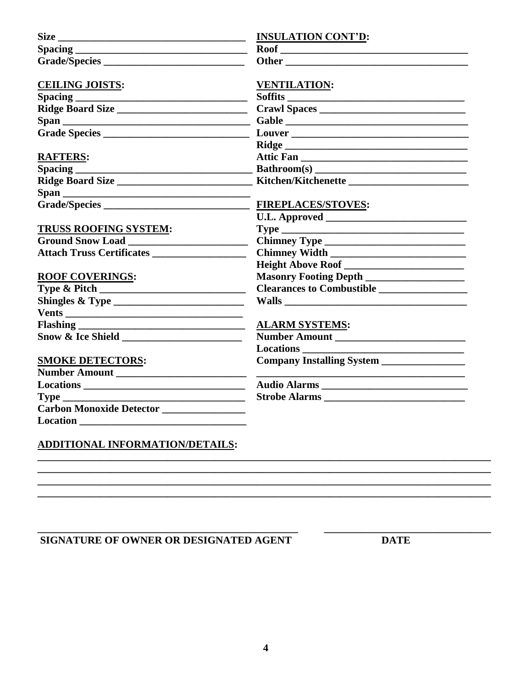|                                           | <b>INSULATION CONT'D:</b>                                                                                                                                                                                                           |
|-------------------------------------------|-------------------------------------------------------------------------------------------------------------------------------------------------------------------------------------------------------------------------------------|
|                                           |                                                                                                                                                                                                                                     |
|                                           | <b>Other</b> contracts to the contract of the contract of the contract of the contract of the contract of the contract of the contract of the contract of the contract of the contract of the contract of the contract of the contr |
| <b>CEILING JOISTS:</b>                    | <b>VENTILATION:</b>                                                                                                                                                                                                                 |
|                                           | Soffits                                                                                                                                                                                                                             |
| Ridge Board Size                          | Crawl Spaces                                                                                                                                                                                                                        |
|                                           |                                                                                                                                                                                                                                     |
|                                           | Louver                                                                                                                                                                                                                              |
|                                           |                                                                                                                                                                                                                                     |
| <b>RAFTERS:</b>                           |                                                                                                                                                                                                                                     |
|                                           |                                                                                                                                                                                                                                     |
|                                           |                                                                                                                                                                                                                                     |
|                                           |                                                                                                                                                                                                                                     |
|                                           | <b>FIREPLACES/STOVES:</b>                                                                                                                                                                                                           |
|                                           |                                                                                                                                                                                                                                     |
| TRUSS ROOFING SYSTEM:                     |                                                                                                                                                                                                                                     |
| Ground Snow Load                          |                                                                                                                                                                                                                                     |
|                                           |                                                                                                                                                                                                                                     |
|                                           |                                                                                                                                                                                                                                     |
| <b>ROOF COVERINGS:</b>                    |                                                                                                                                                                                                                                     |
|                                           |                                                                                                                                                                                                                                     |
|                                           |                                                                                                                                                                                                                                     |
| Vents                                     |                                                                                                                                                                                                                                     |
|                                           | <b>ALARM SYSTEMS:</b>                                                                                                                                                                                                               |
|                                           |                                                                                                                                                                                                                                     |
|                                           |                                                                                                                                                                                                                                     |
| <b>SMOKE DETECTORS:</b>                   |                                                                                                                                                                                                                                     |
| Number Amount ________________________    |                                                                                                                                                                                                                                     |
|                                           |                                                                                                                                                                                                                                     |
| Type                                      | Strobe Alarms                                                                                                                                                                                                                       |
| Carbon Monoxide Detector ________________ |                                                                                                                                                                                                                                     |
|                                           |                                                                                                                                                                                                                                     |
| ADDITIONAL INFORMATION/DETAILS:           |                                                                                                                                                                                                                                     |
|                                           |                                                                                                                                                                                                                                     |

SIGNATURE OF OWNER OR DESIGNATED AGENT

**DATE**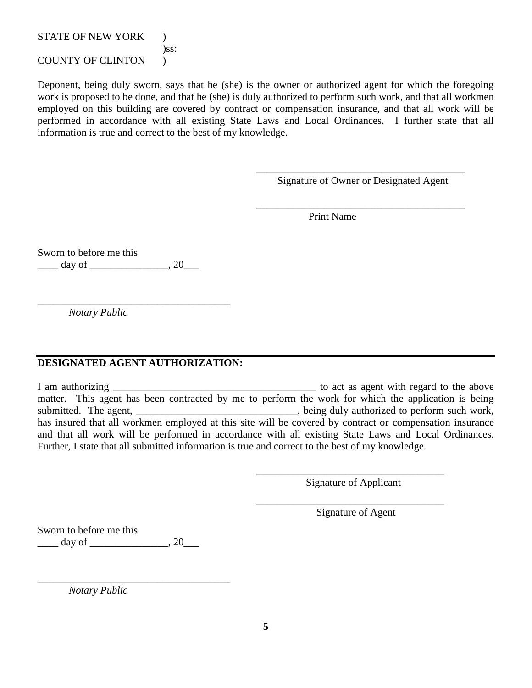STATE OF NEW YORK ) )ss: COUNTY OF CLINTON )

Deponent, being duly sworn, says that he (she) is the owner or authorized agent for which the foregoing work is proposed to be done, and that he (she) is duly authorized to perform such work, and that all workmen employed on this building are covered by contract or compensation insurance, and that all work will be performed in accordance with all existing State Laws and Local Ordinances. I further state that all information is true and correct to the best of my knowledge.

> \_\_\_\_\_\_\_\_\_\_\_\_\_\_\_\_\_\_\_\_\_\_\_\_\_\_\_\_\_\_\_\_\_\_\_\_\_\_\_\_ Signature of Owner or Designated Agent

> \_\_\_\_\_\_\_\_\_\_\_\_\_\_\_\_\_\_\_\_\_\_\_\_\_\_\_\_\_\_\_\_\_\_\_\_\_\_\_\_

Print Name

Sworn to before me this  $\frac{day}{}$  of  $\qquad \qquad .20$ 

*Notary Public*

### **DESIGNATED AGENT AUTHORIZATION:**

\_\_\_\_\_\_\_\_\_\_\_\_\_\_\_\_\_\_\_\_\_\_\_\_\_\_\_\_\_\_\_\_\_\_\_\_\_

I am authorizing \_\_\_\_\_\_\_\_\_\_\_\_\_\_\_\_\_\_\_\_\_\_\_\_\_\_\_\_\_\_\_\_\_\_\_\_\_\_\_ to act as agent with regard to the above matter. This agent has been contracted by me to perform the work for which the application is being submitted. The agent, \_\_\_\_\_\_\_\_\_\_\_\_\_\_\_\_\_\_\_\_\_\_\_\_\_\_\_\_\_, being duly authorized to perform such work, has insured that all workmen employed at this site will be covered by contract or compensation insurance and that all work will be performed in accordance with all existing State Laws and Local Ordinances. Further, I state that all submitted information is true and correct to the best of my knowledge.

> \_\_\_\_\_\_\_\_\_\_\_\_\_\_\_\_\_\_\_\_\_\_\_\_\_\_\_\_\_\_\_\_\_\_\_\_ Signature of Applicant

> \_\_\_\_\_\_\_\_\_\_\_\_\_\_\_\_\_\_\_\_\_\_\_\_\_\_\_\_\_\_\_\_\_\_\_\_

Signature of Agent

Sworn to before me this  $\frac{\text{day of}}{\text{day of}}$ , 20

\_\_\_\_\_\_\_\_\_\_\_\_\_\_\_\_\_\_\_\_\_\_\_\_\_\_\_\_\_\_\_\_\_\_\_\_\_

*Notary Public*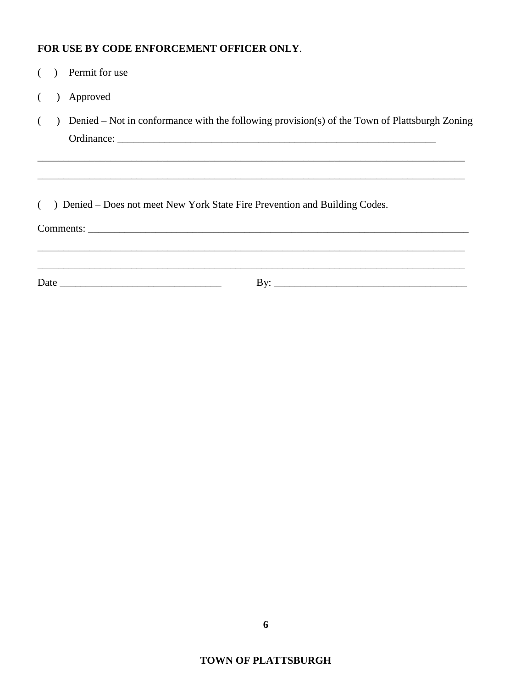#### FOR USE BY CODE ENFORCEMENT OFFICER ONLY.

- ) Permit for use  $\left($
- ) Approved  $\left($
- ) Denied Not in conformance with the following provision(s) of the Town of Plattsburgh Zoning  $\left($

<u> 1989 - Johann Stoff, deutscher Stoffen und der Stoffen und der Stoffen und der Stoffen und der Stoffen und der</u>

) Denied - Does not meet New York State Fire Prevention and Building Codes.  $\left($ 

Comments:

Date and the state of the state of the state of the state of the state of the state of the state of the state of the state of the state of the state of the state of the state of the state of the state of the state of the s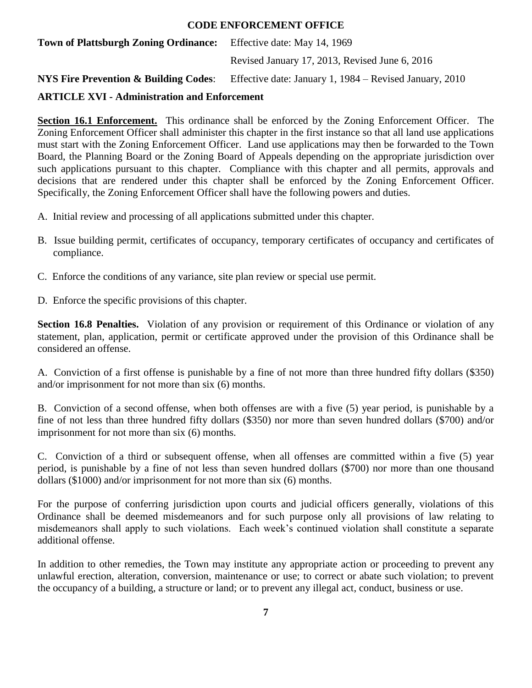#### **CODE ENFORCEMENT OFFICE**

**Town of Plattsburgh Zoning Ordinance:** Effective date: May 14, 1969

Revised January 17, 2013, Revised June 6, 2016

**NYS Fire Prevention & Building Codes**: Effective date: January 1, 1984 – Revised January, 2010

#### **ARTICLE XVI - Administration and Enforcement**

**Section 16.1 Enforcement.** This ordinance shall be enforced by the Zoning Enforcement Officer. The Zoning Enforcement Officer shall administer this chapter in the first instance so that all land use applications must start with the Zoning Enforcement Officer. Land use applications may then be forwarded to the Town Board, the Planning Board or the Zoning Board of Appeals depending on the appropriate jurisdiction over such applications pursuant to this chapter. Compliance with this chapter and all permits, approvals and decisions that are rendered under this chapter shall be enforced by the Zoning Enforcement Officer. Specifically, the Zoning Enforcement Officer shall have the following powers and duties.

- A. Initial review and processing of all applications submitted under this chapter.
- B. Issue building permit, certificates of occupancy, temporary certificates of occupancy and certificates of compliance.
- C. Enforce the conditions of any variance, site plan review or special use permit.
- D. Enforce the specific provisions of this chapter.

**Section 16.8 Penalties.** Violation of any provision or requirement of this Ordinance or violation of any statement, plan, application, permit or certificate approved under the provision of this Ordinance shall be considered an offense.

A. Conviction of a first offense is punishable by a fine of not more than three hundred fifty dollars (\$350) and/or imprisonment for not more than six (6) months.

B. Conviction of a second offense, when both offenses are with a five (5) year period, is punishable by a fine of not less than three hundred fifty dollars (\$350) nor more than seven hundred dollars (\$700) and/or imprisonment for not more than six (6) months.

C. Conviction of a third or subsequent offense, when all offenses are committed within a five (5) year period, is punishable by a fine of not less than seven hundred dollars (\$700) nor more than one thousand dollars (\$1000) and/or imprisonment for not more than six (6) months.

For the purpose of conferring jurisdiction upon courts and judicial officers generally, violations of this Ordinance shall be deemed misdemeanors and for such purpose only all provisions of law relating to misdemeanors shall apply to such violations. Each week's continued violation shall constitute a separate additional offense.

In addition to other remedies, the Town may institute any appropriate action or proceeding to prevent any unlawful erection, alteration, conversion, maintenance or use; to correct or abate such violation; to prevent the occupancy of a building, a structure or land; or to prevent any illegal act, conduct, business or use.